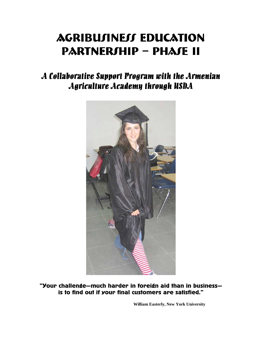# AGRIBUJINEJJ EDUCATION PARTNERSHIP – PHASE II

# A Collaborative Support Program with the Armenian Agriculture Academy through USDA



"Your challenge—much harder in foreign aid than in business is to find out if your final customers are satisfied."

**William Easterly, New York University**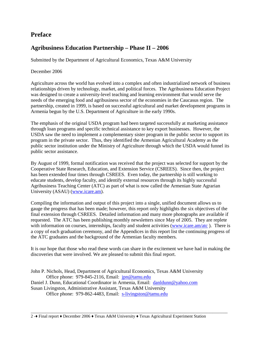### **Preface**

### **Agribusiness Education Partnership – Phase II – 2006**

Submitted by the Department of Agricultural Economics, Texas A&M University

#### December 2006

Agriculture across the world has evolved into a complex and often industrialized network of business relationships driven by technology, market, and political forces. The Agribusiness Education Project was designed to create a university-level teaching and learning environment that would serve the needs of the emerging food and agribusiness sector of the economies in the Caucasus region. The partnership, created in 1999, is based on successful agricultural and market development programs in Armenia begun by the U.S. Department of Agriculture in the early 1990s.

The emphasis of the original USDA program had been targeted successfully at marketing assistance through loan programs and specific technical assistance to key export businesses. However, the USDA saw the need to implement a complementary sister program in the public sector to support its program in the private sector. Thus, they identified the Armenian Agricultural Academy as the public sector institution under the Ministry of Agriculture through which the USDA would funnel its public sector assistance.

By August of 1999, formal notification was received that the project was selected for support by the Cooperative State Research, Education, and Extension Service (CSREES). Since then, the project has been extended four times through CSREES. Even today, the partnership is still working to educate students, develop faculty, and identify external resources through its highly successful Agribusiness Teaching Center (ATC) as part of what is now called the Armenian State Agrarian University (ASAU) (www.icare.am).

Compiling the information and output of this project into a single, unified document allows us to gauge the progress that has been made; however, this report only highlights the six objectives of the final extension through CSREES. Detailed information and many more photographs are available if requested. The ATC has been publishing monthly newsletters since May of 2005. They are replete with information on courses, internships, faculty and student activities (www.icare.am/atc). There is a copy of each graduation ceremony, and the Appendices in this report list the continuing progress of the ATC graduates and the background of the Armenian faculty members.

It is our hope that those who read these words can share in the excitement we have had in making the discoveries that were involved. We are pleased to submit this final report.

John P. Nichols, Head, Department of Agricultural Economics, Texas A&M University Office phone: 979-845-2116, Email: jpn@tamu.edu Daniel J. Dunn, Educational Coordinator in Armenia, Email: danldunn@yahoo.com Susan Livingston, Administrative Assistant, Texas A&M University Office phone: 979-862-4483, Email: s-livingston@tamu.edu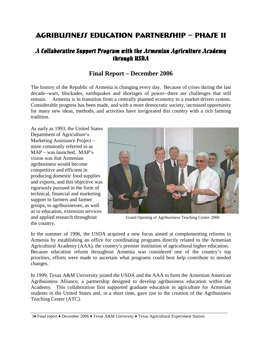# AGRIBUJINEJJ EDUCATION PARTNERJHIP – PHAJE II

### A Collaborative Support Program with the Armenian Agriculture Academy through USDA

### **Final Report – December 2006**

The history of the Republic of Armenia is changing every day. Because of crises during the last decade--wars, blockades, earthquakes and shortages of power--there are challenges that still remain. Armenia is in transition from a centrally planned economy to a market-driven system. Considerable progress has been made, and with a more democratic society, increased opportunity for many new ideas, methods, and activities have invigorated this country with a rich farming tradition.

As early as 1993, the United States Department of Agriculture's Marketing Assistance Project – more commonly referred to as MAP – was launched. MAP's vision was that Armenian agribusiness would become competitive and efficient in producing domestic food supplies and exports, and this objective was rigorously pursued in the form of technical, financial and marketing support to farmers and farmer groups, to agribusinesses, as well as to education, extension services the country.



and applied research throughout Grand Opening of Agribusiness Teaching Center 2000

In the summer of 1996, the USDA acquired a new focus aimed at complementing reforms in Armenia by establishing an office for coordinating programs directly related to the Armenian Agricultural Academy (AAA), the country's premier institution of agricultural higher education. Because education reform throughout Armenia was considered one of the country's top priorities, efforts were made to ascertain what programs could best help contribute to needed changes.

In 1999, Texas A&M University joined the USDA and the AAA to form the Armenian American Agribusiness Alliance, a partnership designed to develop agribusiness education within the Academy. This collaboration first supported graduate education in agriculture for Armenian students in the United States and, in a short time, gave rise to the creation of the Agribusiness Teaching Center (ATC).

 <sup>3</sup>♦ Final report ♦ December 2006 ♦ Texas A&M University ♦ Texas Agricultural Experiment Station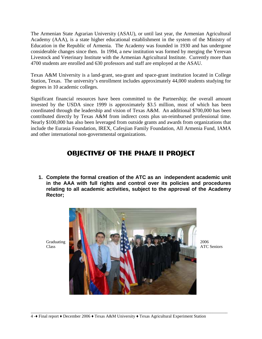The Armenian State Agrarian University (ASAU), or until last year, the Armenian Agricultural Academy (AAA), is a state higher educational establishment in the system of the Ministry of Education in the Republic of Armenia. The Academy was founded in 1930 and has undergone considerable changes since then. In 1994, a new institution was formed by merging the Yerevan Livestock and Veterinary Institute with the Armenian Agricultural Institute. Currently more than 4700 students are enrolled and 630 professors and staff are employed at the ASAU.

Texas A&M University is a land-grant, sea-grant and space-grant institution located in College Station, Texas. The university's enrollment includes approximately 44,000 students studying for degrees in 10 academic colleges.

Significant financial resources have been committed to the Partnership; the overall amount invested by the USDA since 1999 is approximately \$3.5 million, most of which has been coordinated through the leadership and vision of Texas A&M. An additional \$700,000 has been contributed directly by Texas A&M from indirect costs plus un-reimbursed professional time. Nearly \$100,000 has also been leveraged from outside grants and awards from organizations that include the Eurasia Foundation, IREX, Cafesjian Family Foundation, All Armenia Fund, IAMA and other international non-governmental organizations.

## OBJECTIVES OF THE PHASE II PROJECT

**1. Complete the formal creation of the ATC as an independent academic unit in the AAA with full rights and control over its policies and procedures relating to all academic activities, subject to the approval of the Academy Rector;** 

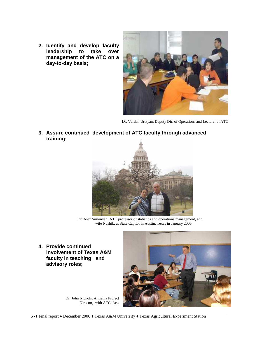**2. Identify and develop faculty leadership to take over management of the ATC on a day-to-day basis;** 



Dr. Vardan Urutyan, Deputy Dir. of Operations and Lecturer at ATC

**3. Assure continued development of ATC faculty through advanced training;** 



 Dr. Alex Simonyan, ATC professor of statistics and operations management, and wife Nushik, at State Capitol in Austin, Texas in January 2006

**4. Provide continued involvement of Texas A&M faculty in teaching and advisory roles;** 



Dr. John Nichols, Armenia Project Director, with ATC class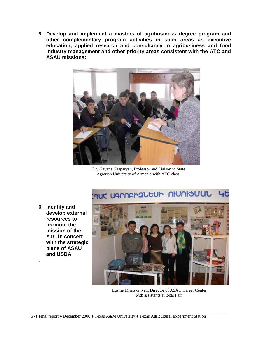**5. Develop and implement a masters of agribusiness degree program and other complementary program activities in such areas as executive education, applied research and consultancy in agribusiness and food industry management and other priority areas consistent with the ATC and ASAU missions:** 



Dr. Gayane Gasparyan, Professor and Liaison to State Agrarian University of Armenia with ATC class

#### MUC UGMAPP2LEUP NIUNISUUL  $45$

**6. Identify and develop external resources to promote the mission of the ATC in concert with the strategic plans of ASAU and USDA**

.



 Lusine Mnatskanyan, Director of ASAU Career Center with assistants at local Fair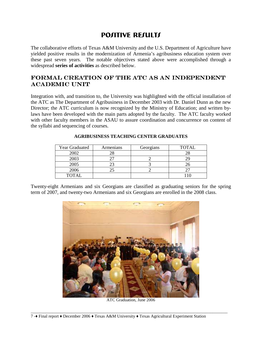### POSITIVE RESULTS

The collaborative efforts of Texas A&M University and the U.S. Department of Agriculture have yielded positive results in the modernization of Armenia's agribusiness education system over these past seven years. The notable objectives stated above were accomplished through a widespread **series of activities** as described below.

### formal creation of the ATC as an independent **ACADEMIC UNIT**

Integration with, and transition to, the University was highlighted with the official installation of the ATC as The Department of Agribusiness in December 2003 with Dr. Daniel Dunn as the new Director; the ATC curriculum is now recognized by the Ministry of Education; and written bylaws have been developed with the main parts adopted by the faculty. The ATC faculty worked with other faculty members in the ASAU to assure coordination and concurrence on content of the syllabi and sequencing of courses.

| <b>Year Graduated</b> | Armenians | Georgians | <b>TOTAL</b> |
|-----------------------|-----------|-----------|--------------|
| 2002                  | 28        |           |              |
| 2003                  |           |           |              |
| 2005                  | 23        |           | 26           |
| 2006                  |           |           |              |
| TOTAL                 |           |           |              |

#### **AGRIBUSINESS TEACHING CENTER GRADUATES**

Twenty-eight Armenians and six Georgians are classified as graduating seniors for the spring term of 2007, and twenty-two Armenians and six Georgians are enrolled in the 2008 class.



ATC Graduation, June 2006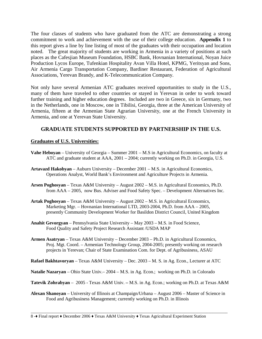The four classes of students who have graduated from the ATC are demonstrating a strong commitment to work and achievement with the use of their college education. **Appendix 1** to this report gives a line by line listing of most of the graduates with their occupation and location noted. The great majority of students are working in Armenia in a variety of positions at such places as the Cafesjian Museum Foundation, HSBC Bank, Hovnanian International, Noyan Juice Production Lycos Europe, Tufenkian Hospitality Avan Villa Hotel, KPMG, Yeritsyan and Sons, Air Armenia Cargo Transportation Company, Bardiner Restaurant, Federation of Agricultural Associations, Yerevan Brandy, and K-Telecommunication Company.

Not only have several Armenian ATC graduates received opportunities to study in the U.S., many of them have traveled to other countries or stayed in Yerevan in order to work toward further training and higher education degrees. Included are two in Greece, six in Germany, two in the Netherlands, one in Moscow, one in Tibilisi, Georgia, three at the American University of Armenia, fifteen at the Armenian State Agrarian University, one at the French University in Armenia, and one at Yerevan State University.

### **GRADUATE STUDENTS SUPPORTED BY PARTNERSHIP IN THE U.S.**

#### **Graduates of U.S. Universities:**

- **Vahe Heboyan** University of Georgia Summer 2001 M.S in Agricultural Economics, on faculty at ATC and graduate student at AAA, 2001 – 2004; currently working on Ph.D. in Georgia, U.S.
- **Artavazd Hakobyan** Auburn University December 2001 M.S. in Agricultural Economics, Operations Analyst, World Bank's Environment and Agriculture Projects in Armenia.
- **Arsen Poghosyan** Texas A&M University August 2002 M.S. in Agricultural Economics, Ph.D. from AAA – 2005, now Bus. Adviser and Food Safety Spec. – Development Alternatives Inc.
- **Artak Poghosyan** Texas A&M University August 2002 M.S. in Agricultural Economics, Marketing Mgr. – Hovnanian International LTD, 2003-2004, Ph.D. from AAA – 2005, presently Community Development Worker for Basildon District Council, United Kingdom
- **Anahit Gevorgyan** Pennsylvania State University May 2003 M.S. in Food Science, Food Quality and Safety Project Research Assistant /USDA MAP
- **Armen Asatryan** Texas A&M University December 2003 Ph.D. in Agricultural Economics, Proj. Mgt. Coord. – Armenian Technology Group, 2004-2005; presently working on research projects in Yerevan; Chair of State Examination Com. for Dept. of Agribusiness, ASAU

**Rafael Bakhtavoryan** – Texas A&M University – Dec. 2003 – M. S. in Ag. Econ., Lecturer at ATC

- **Natalie Nazaryan** Ohio State Univ.– 2004 M.S. in Ag. Econ.; working on Ph.D. in Colorado
- **Tatevik Zohrabyan** 2005 Texas A&M Univ.M.S. in Ag. Econ.; working on Ph.D. at Texas A&M
- **Alexan Shanoyan** University of Illinois at Champaign/Urbana August 2006 Master of Science in Food and Agribusiness Management; currently working on Ph.D. in Illinois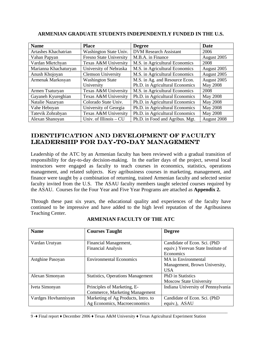| <b>Name</b>           | <b>Place</b>              | <b>Degree</b>                   | <b>Date</b>     |
|-----------------------|---------------------------|---------------------------------|-----------------|
| Artashes Khachatrian  | Washington State Univ.    | <b>DVM Research Assistant</b>   | 2006            |
| Vahan Papyan          | Fresno State University   | M.B.A. in Finance               | August 2005     |
| Vardan Mkrtchyan      | Texas A&M University      | M.S. in Agricultural Economics  | 2008            |
| Marianna Khachaturyan | University of Nebraska    | M.S. in Agricultural Economics  | August 2005     |
| Anush Khojoyan        | <b>Clemson University</b> | M.S. in Agricultural Economics  | August 2005     |
| Armenak Markosyan     | <b>Washington State</b>   | M.S. in Ag. and Resource Econ.  | August 2005     |
|                       | University                | Ph.D. in Agricultural Economics | <b>May 2008</b> |
| Armen Tsaturyan       | Texas A&M University      | M.S. in Agricultural Economics  | 2008            |
| Gayaneh Kyureghian    | Texas A&M University      | Ph.D. in Agricultural Economics | <b>May 2008</b> |
| Natalie Nazaryan      | Colorado State Univ.      | Ph.D. in Agricultural Economics | May 2008        |
| Vahe Heboyan          | University of Georgia     | Ph.D. in Agricultural Economics | May 2008        |
| Tatevik Zohrabyan     | Texas A&M University      | Ph.D. in Agricultural Economics | May 2008        |
| Alexan Shanoyan       | Univ. of Illinois - CU    | Ph.D. in Food and Agribus. Mgt. | August 2008     |

#### **ARMENIAN GRADUATE STUDENTS INDEPENDENTLY FUNDED IN THE U.S.**

### IDENTIFICATION AND DEVELOPMENT OF FACULTY LEADERSHIP FOR DAY-TO-DAY MANAGEMENT

Leadership of the ATC by an Armenian faculty has been reviewed with a gradual transition of responsibility for day-to-day decision-making. In the earlier days of the project, several local instructors were engaged as faculty to teach courses in economics, statistics, operations management, and related subjects. Key agribusiness courses in marketing, management, and finance were taught by a combination of returning, trained Armenian faculty and selected senior faculty invited from the U.S. The ASAU faculty members taught selected courses required by the ASAU. Courses for the Four Year and Five Year Programs are attached as **Appendix 2.** 

Through these past six years, the educational quality and experiences of the faculty have continued to be impressive and have added to the high level reputation of the Agribusiness Teaching Center.

| <b>Name</b>          | <b>Courses Taught</b>                                               | <b>Degree</b>                                                                   |
|----------------------|---------------------------------------------------------------------|---------------------------------------------------------------------------------|
| Vardan Urutyan       | Financial Management,<br><b>Financial Analysis</b>                  | Candidate of Econ. Sci. (PhD<br>equiv.) Yerevan State Institute of<br>Economics |
| Astghine Pasoyan     | <b>Environmental Economics</b>                                      | MA in Environmental<br>Management, Brown University,<br><b>USA</b>              |
| Alexan Simonyan      | <b>Statistics, Operations Management</b>                            | <b>PhD</b> in Statistics<br><b>Moscow State University</b>                      |
| Iveta Simonyan       | Principles of Marketing, E-<br>Commerce, Marketing Management       | Indiana University of Pennsylvania                                              |
| Vardges Hovhannisyan | Marketing of Ag Products, Intro. to<br>Ag Economics, Macroeconomics | Candidate of Econ. Sci. (PhD<br>equiv.), ASAU                                   |

\_\_\_\_\_\_\_\_\_\_\_\_\_\_\_\_\_\_\_\_\_\_\_\_\_\_\_\_\_\_\_\_\_\_\_\_\_\_\_\_\_\_\_\_\_\_\_\_\_\_\_\_\_\_\_\_\_\_\_\_\_\_\_\_\_\_\_\_\_\_\_\_\_\_\_\_\_\_\_\_\_\_\_\_\_\_\_\_\_\_\_\_

#### **ARMENIAN FACULTY OF THE ATC**

9 -♦ Final report ♦ December 2006 ♦ Texas A&M University ♦ Texas Agricultural Experiment Station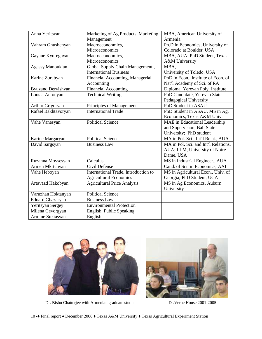| Anna Yeritsyan            | Marketing of Ag Products, Marketing  | MBA, American University of          |
|---------------------------|--------------------------------------|--------------------------------------|
|                           | Management                           | Armenia                              |
| Vahram Ghushchyan         | Macroecononmics,                     | Ph.D in Economics, University of     |
|                           | Microeconomics                       | Colorado at Boulder, USA             |
| Gayane Kyureghyan         | Macroecononmics,                     | MBA, AUA; PhD Student, Texas         |
|                           | Microeconomics                       | A&M University                       |
| <b>Agassy Manoukian</b>   | Global Supply Chain Management.,     | MBA,                                 |
|                           | <b>International Business</b>        | University of Toledo, USA            |
| Karine Zurabyan           | Financial Accounting, Managerial     | PhD in Econ., Institute of Econ. of  |
|                           | Accounting                           | Nat'l Academy of Sci. of RA          |
| <b>Byuzand Dervishyan</b> | <b>Financial Accounting</b>          | Diploma, Yerevan Poly. Institute     |
| Lousia Antonyan           | <b>Technical Writing</b>             | PhD Candidate, Yerevan State         |
|                           |                                      | Pedagogical University               |
| Arthur Grigoryan          | Principles of Management             | PhD Student in ASAU                  |
| Rafael Bakhtavoryan       | <b>International Trade</b>           | PhD Student in ASAU, MS in Ag.       |
|                           |                                      | Economics, Texas A&M Univ.           |
| Vahe Vanesyan             | <b>Political Science</b>             | MAE in Educational Leadership        |
|                           |                                      | and Supervision, Ball State          |
|                           |                                      | University; PhD student              |
| Karine Margaryan          | <b>Political Science</b>             | MA in Pol. Sci., Int'l Relat., AUA   |
| David Sargsyan            | <b>Business Law</b>                  | MA in Pol. Sci. and Int'l Relations, |
|                           |                                      | AUA; LLM, University of Notre        |
|                           |                                      | Dame, USA                            |
| Ruzanna Movsesyan         | Calculus                             | MS in Industrial Engineer., AUA      |
| Armen Mkrtchyan           | Civil Defense                        | Cand. of Sci. in Economics, AAI      |
| Vahe Heboyan              | International Trade, Introduction to | MS in Agricultural Econ., Univ. of   |
|                           | <b>Agricultural Economics</b>        | Georgia; PhD Student, UGA            |
| Artavazd Hakobyan         | <b>Agricultural Price Analysis</b>   | MS in Ag Economics, Auburn           |
|                           |                                      | University                           |
| Varuzhan Hoktanyan        | <b>Political Science</b>             |                                      |
| <b>Eduard Ghazaryan</b>   | <b>Business Law</b>                  |                                      |
| Yeritsyan Sergey          | <b>Environmental Protection</b>      |                                      |
| Milena Gevorgyan          | English, Public Speaking             |                                      |
| Armine Sukiasyan          | English                              |                                      |



Dr. Bishu Chatterjee with Armenian graduate students Dr.Verne House 2001-2005

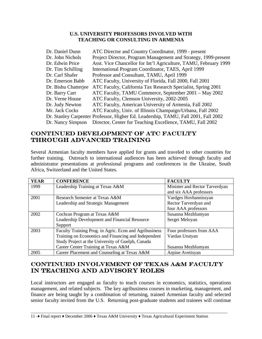#### **U.S. UNIVERSITY PROFESSORS INVOLVED WITH TEACHING OR CONSULTING IN ARMENIA**

| Dr. Daniel Dunn      | ATC Director and Country Coordinator, 1999 - present                               |
|----------------------|------------------------------------------------------------------------------------|
| Dr. John Nichols     | Project Director, Program Management and Strategy, 1999-present                    |
| Dr. Edwin Price      | Asst. Vice Chancellor for Int'l Agriculture, TAMU, February 1999                   |
| Dr. Tim Schilling    | International Program Coordinator, TAES, April 1999                                |
| Dr. Carl Shafer      | Professor and Consultant, TAMU, April 1999                                         |
| Dr. Emerson Babb     | ATC Faculty, University of Florida, Fall 2000, Fall 2001                           |
| Dr. Bishu Chatterjee | ATC Faculty, California Tax Research Specialist, Spring 2001                       |
| Dr. Barry Carr       | ATC Faculty, TAMU Commerce, September 2001 – May 2002                              |
| Dr. Verne House      | ATC Faculty, Clemson University, 2002-2005                                         |
| Dr. Judy Newton      | ATC Faculty, American University of Armenia, Fall 2002                             |
| Mr. Jack Cocks       | ATC Faculty, Univ. of Illinois Champaign/Urbana, Fall 2002                         |
|                      | Dr. Stanley Carpenter Professor, Higher Ed. Leadership, TAMU, Fall 2001, Fall 2002 |
| Dr. Nancy Simpson    | Director, Center for Teaching Excellence, TAMU, Fall 2002                          |

### continued development of ATC faculty THROUGH ADVANCED TRAINING

Several Armenian faculty members have applied for grants and traveled to other countries for further training. Outreach to international audiences has been achieved through faculty and administrator presentations at professional programs and conferences in the Ukraine, South Africa, Switzerland and the United States.

| <b>YEAR</b> | <b>CONFERENCE</b>                                      | <b>FACULTY</b>                 |
|-------------|--------------------------------------------------------|--------------------------------|
| 1999        | Leadership Training at Texas A&M                       | Minister and Rector Tarverdyan |
|             |                                                        | and six AAA professors         |
| 2001        | Research Semester at Texas A&M                         | Vardges Hovhannissyan          |
|             | Leadership and Strategic Management                    | Rector Tarverdyan and          |
|             |                                                        | four AAA professors            |
| 2002        | Cochran Program at Texas A&M                           | Susanna Mezhlumyan             |
|             | Leadership Development and Financial Resource          | Sergei Meloyan                 |
|             | Support                                                |                                |
| 2003        | Faculty Training Prog. in Agric. Econ and Agribusiness | Four professors from AAA       |
|             | Training on Economics and Financing and Independent    | Vardan Urutyan                 |
|             | Study Project at the University of Guelph, Canada      |                                |
|             | Career Center Training at Texas A&M                    | Susanna Mezhlumyan             |
| 2005        | Career Placement and Counseling at Texas A&M           | Arpine Avetisyan               |

### continued involvement of Texas A&M faculty IN TEACHING AND ADVISORY ROLES

Local instructors are engaged as faculty to teach courses in economics, statistics, operations management, and related subjects. The key agribusiness courses in marketing, management, and finance are being taught by a combination of returning, trained Armenian faculty and selected senior faculty invited from the U.S. Returning post-graduate students and trainees will continue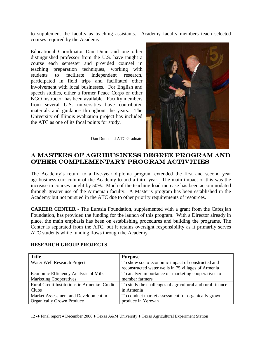to supplement the faculty as teaching assistants. Academy faculty members teach selected courses required by the Academy.

Educational Coordinator Dan Dunn and one other distinguished professor from the U.S. have taught a course each semester and provided counsel in teaching preparation techniques, working with students to facilitate independent research, participated in field trips and facilitated other involvement with local businesses. For English and speech studies, either a former Peace Corps or other NGO instructor has been available. Faculty members from several U.S. universities have contributed materials and guidance throughout the years. The University of Illinois evaluation project has included the ATC as one of its focal points for study.



Dan Dunn and ATC Graduate

### a masters of agribusiness degree program and other complementary program activities activities

The Academy's return to a five-year diploma program extended the first and second year agribusiness curriculum of the Academy to add a third year. The main impact of this was the increase in courses taught by 50%. Much of the teaching load increase has been accommodated through greater use of the Armenian faculty. A Master's program has been established in the Academy but not pursued in the ATC due to other priority requirements of resources.

**CAREER CENTER** - The Eurasia Foundation, supplemented with a grant from the Cafesjian Foundation, has provided the funding for the launch of this program. With a Director already in place, the main emphasis has been on establishing procedures and building the programs. The Center is separated from the ATC, but it retains oversight responsibility as it primarily serves ATC students while funding flows through the Academy

| <b>Title</b>                                 | <b>Purpose</b>                                            |
|----------------------------------------------|-----------------------------------------------------------|
| Water Well Research Project                  | To show socio-economic impact of constructed and          |
|                                              | reconstructed water wells in 75 villages of Armenia       |
| Economic Efficiency Analysis of Milk         | To analyze importance of marketing cooperatives to        |
| <b>Marketing Cooperatives</b>                | member farmers                                            |
| Rural Credit Institutions in Armenia: Credit | To study the challenges of agricultural and rural finance |
| Clubs                                        | in Armenia                                                |
| Market Assessment and Development in         | To conduct market assessment for organically grown        |
| <b>Organically Grown Produce</b>             | produce in Yerevan                                        |

\_\_\_\_\_\_\_\_\_\_\_\_\_\_\_\_\_\_\_\_\_\_\_\_\_\_\_\_\_\_\_\_\_\_\_\_\_\_\_\_\_\_\_\_\_\_\_\_\_\_\_\_\_\_\_\_\_\_\_\_\_\_\_\_\_\_\_\_\_\_\_\_\_\_\_\_\_\_\_\_\_\_\_\_\_\_\_\_\_\_\_\_

#### **RESEARCH GROUP PROJECTS**

12 -♦ Final report ♦ December 2006 ♦ Texas A&M University ♦ Texas Agricultural Experiment Station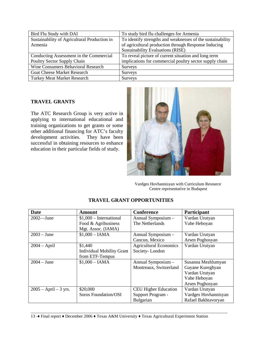| Bird Flu Study with DAI                      | To study bird flu challenges for Armenia                   |
|----------------------------------------------|------------------------------------------------------------|
| Sustainability of Agricultural Production in | To identify strengths and weaknesses of the sustainability |
| Armenia                                      | of agricultural production through Response Inducing       |
|                                              | Sustainability Evaluations (RISE)                          |
| Conducting Assessment in the Commercial      | To reveal picture of current situation and long term       |
| Poultry Sector Supply Chain                  | implications for commercial poultry sector supply chain    |
| Wine Consumers Behavioral Research           | Surveys                                                    |
| <b>Goat Cheese Market Research</b>           | Surveys                                                    |
| <b>Turkey Meat Market Research</b>           | Surveys                                                    |

#### **TRAVEL GRANTS**

The ATC Research Group is very active in applying to international educational and training organizations to get grants or some other additional financing for ATC's faculty development activities. They have been successful in obtaining resources to enhance education in their particular fields of study.



 Vardges Hovhannisyan with Curriculum Resource Centre representative in Budapest

| Date                    | <b>Amount</b>                    | <b>Conference</b>             | Participant          |
|-------------------------|----------------------------------|-------------------------------|----------------------|
| $2002 - June$           | $$1,000$ – International         | Annual Symposium -            | Vardan Urutyan       |
|                         | Food & Agribusiness              | The Netherlands               | Vahe Heboyan         |
|                         | Mgt. Assoc. (IAMA)               |                               |                      |
| $2003 - June$           | $$1,000 - IAMA$                  | Annual Symposium -            | Vardan Urutyan       |
|                         |                                  | Cancun, Mexico                | Arsen Poghosyan      |
| $2004 - April$          | \$1,440                          | <b>Agricultural Economics</b> | Vardan Urutyan       |
|                         | <b>Individual Mobility Grant</b> | Society-London                |                      |
|                         | from ETF-Tempus                  |                               |                      |
| $2004 - June$           | $$1,000 - IAMA$                  | Annual Symposium -            | Susanna Mezhlumyan   |
|                         |                                  | Montreaux, Switzerland        | Gayane Kureghyan     |
|                         |                                  |                               | Vardan Urutyan       |
|                         |                                  |                               | Vahe Heboyan         |
|                         |                                  |                               | Arsen Poghosyan      |
| $2005 - April - 3 yrs.$ | \$20,000                         | <b>CEU Higher Education</b>   | Vardan Urutyan       |
|                         | Soros Foundation/OSI             | Support Program -             | Vardges Hovhannisyan |
|                         |                                  | Bulgarian                     | Rafael Bakhtavoryan  |

#### **TRAVEL GRANT OPPORTUNITIES**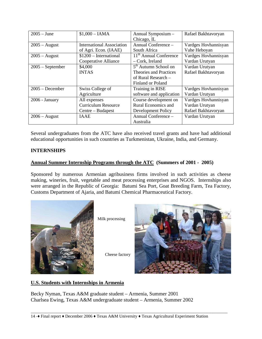| $2005 - June$      | $$1,000 - IAMA$                  | Annual Symposium -                 | Rafael Bakhtavoryan  |
|--------------------|----------------------------------|------------------------------------|----------------------|
|                    |                                  | Chicago, IL                        |                      |
| $2005 - August$    | <b>International Association</b> | Annual Conference –                | Vardges Hovhannisyan |
|                    | of Agri. Econ. (IAAE)            | South Africa                       | Vahe Heboyan         |
| $2005 - August$    | $$1200$ - International          | 11 <sup>th</sup> Annual Conference | Vardges Hovhannisyan |
|                    | Cooperative Alliance             | - Cork, Ireland                    | Vardan Urutyan       |
| $2005$ – September | \$4,000                          | 5 <sup>th</sup> Autumn School on   | Vardan Urutyan       |
|                    | <b>INTAS</b>                     | <b>Theories and Practices</b>      | Rafael Bakhtavoryan  |
|                    |                                  | of Rural Research –                |                      |
|                    |                                  | <b>Finland or Poland</b>           |                      |
| $2005 - December$  | Swiss College of                 | Training in RISE                   | Vardges Hovhannisyan |
|                    | Agriculture                      | software and application           | Vardan Urutyan       |
| $2006$ - January   | All expenses                     | Course development on              | Vardges Hovhannisyan |
|                    | <b>Curriculum Resource</b>       | Rural Economics and                | Vardan Urutyan       |
|                    | Centre – Budapest                | Development Policy                 | Rafael Bakhtavoryan  |
| $2006 - August$    | <b>IAAE</b>                      | Annual Conference -                | Vardan Urutyan       |
|                    |                                  | Australia                          |                      |

Several undergraduates from the ATC have also received travel grants and have had additional educational opportunities in such countries as Turkmenistan, Ukraine, India, and Germany.

### **INTERNSHIPS**

#### **Annual Summer Internship Programs through the ATC (Summers of 2001 - 2005)**

Sponsored by numerous Armenian agribusiness firms involved in such activities as cheese making, wineries, fruit, vegetable and meat processing enterprises and NGOS. Internships also were arranged in the Republic of Georgia: Batumi Sea Port, Goat Breeding Farm, Tea Factory, Customs Department of Ajaria, and Batumi Chemical Pharmaceutical Factory.



Milk processing

Cheese factory



#### **U.S. Students with Internships in Armenia**

Becky Nyman, Texas A&M graduate student – Armenia, Summer 2001 Charlsea Ewing, Texas A&M undergraduate student – Armenia, Summer 2002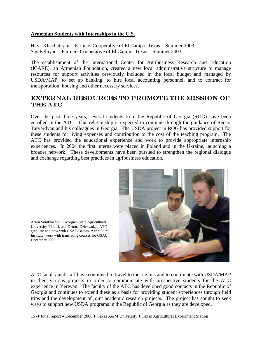#### **Armenian Students with Internships in the U.S.**

Hayk Khachatryan – Farmers Cooperative of El Campo, Texas – Summer 2003 Sos Eghiyan – Farmers Cooperative of El Campo, Texas – Summer 2003

The establishment of the International Center for Agribusiness Research and Education (ICARE), an Armenian Foundation, created a new local administrative structure to manage resources for support activities previously included in the local budget and managed by USDA/MAP: to set up banking, to hire local accounting personnel, and to contract for transportation, housing and other necessary services.

### external resources to promote the mission of THE ATC

Over the past three years, several students from the Republic of Georgia (ROG) have been enrolled in the ATC. This relationship is expected to continue through the guidance of Rector Tarverdyan and his colleagues in Georgia. The USDA project in ROG has provided support for these students for living expenses and contribution to the cost of the teaching program. The ATC has provided the educational experience and work to provide appropriate internship experiences. In 2004 the first interns were placed in Poland and in the Ukraine, launching a broader network. These developments have been pursued to strengthen the regional dialogue and exchange regarding best practices in agribusiness education.



Arsen Somkhishvili, Georgian State Agricultural University Tibilisi, and Demna Dzirkvadze, ATC graduate and now with GSAU/Batumi Agricultural Institute, work with translating courses for GSAU, December 2005

ATC faculty and staff have continued to travel to the regions and to coordinate with USDA/MAP in their various projects in order to communicate with prospective students for the ATC experience in Yerevan. The faculty of the ATC has developed good contacts in the Republic of Georgia and continues to extend these as a basis for providing student experiences through field trips and the development of joint academic research projects. The project has sought to seek ways to support new USDA programs in the Republic of Georgia as they are developed.

\_\_\_\_\_\_\_\_\_\_\_\_\_\_\_\_\_\_\_\_\_\_\_\_\_\_\_\_\_\_\_\_\_\_\_\_\_\_\_\_\_\_\_\_\_\_\_\_\_\_\_\_\_\_\_\_\_\_\_\_\_\_\_\_\_\_\_\_\_\_\_\_\_\_\_\_\_\_\_\_\_\_\_\_\_\_\_\_\_\_\_\_

15 -♦ Final report ♦ December 2006 ♦ Texas A&M University ♦ Texas Agricultural Experiment Station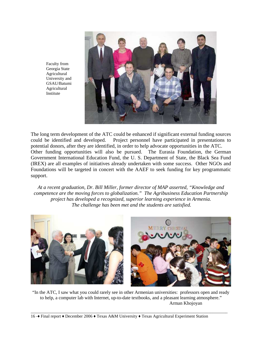

Faculty from Georgia State Agricultural University and GSAU/Batumi Agricultural Institute

The long term development of the ATC could be enhanced if significant external funding sources could be identified and developed. Project personnel have participated in presentations to potential donors, after they are identified, in order to help advocate opportunities in the ATC. Other funding opportunities will also be pursued. The Eurasia Foundation, the German Government International Education Fund, the U. S. Department of State, the Black Sea Fund (IREX) are all examples of initiatives already undertaken with some success. Other NGOs and Foundations will be targeted in concert with the AAEF to seek funding for key programmatic support.

*At a recent graduation, Dr. Bill Miller, former director of MAP asserted, "Knowledge and competence are the moving forces to globalization." The Agribusiness Education Partnership project has developed a recognized, superior learning experience in Armenia. The challenge has been met and the students are satisfied.* 



"In the ATC, I saw what you could rarely see in other Armenian universities: professors open and ready to help, a computer lab with Internet, up-to-date textbooks, and a pleasant learning atmosphere." Arman Khojoyan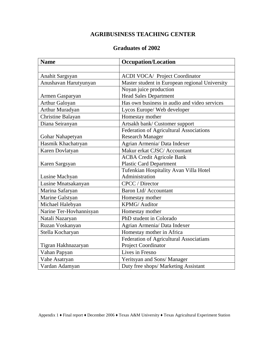### **AGRIBUSINESS TEACHING CENTER**

### **Graduates of 2002**

| <b>Name</b>             | <b>Occupation/Location</b>                     |
|-------------------------|------------------------------------------------|
|                         |                                                |
| Anahit Sargsyan         | <b>ACDI VOCA/ Project Coordinator</b>          |
| Anushavan Harutyunyan   | Master student in European regional University |
|                         | Noyan juice production                         |
| Armen Gasparyan         | <b>Head Sales Department</b>                   |
| <b>Arthur Galoyan</b>   | Has own business in audio and video services   |
| Arthur Muradyan         | Lycos Europe/ Web developer                    |
| Christine Balayan       | Homestay mother                                |
| Diana Seiranyan         | Artsakh bank/ Customer support                 |
|                         | Federation of Agricultural Associations        |
| Gohar Nahapetyan        | <b>Research Manager</b>                        |
| Hasmik Khachatryan      | Agrian Armenia/ Data Indexer                   |
| Karen Dovlatyan         | Makur erkat CJSC/ Accountant                   |
|                         | <b>ACBA Credit Agricole Bank</b>               |
| Karen Sargsyan          | <b>Plastic Card Department</b>                 |
|                         | Tufenkian Hospitality Avan Villa Hotel         |
| Lusine Machyan          | Administration                                 |
| Lusine Mnatsakanyan     | <b>CPCC</b> / Director                         |
| Marina Safaryan         | Baron Ltd/ Accountant                          |
| Marine Galstyan         | Homestay mother                                |
| Michael Halebyan        | <b>KPMG/Auditor</b>                            |
| Narine Ter-Hovhannisyan | Homestay mother                                |
| Natali Nazaryan         | PhD student in Colorado                        |
| Ruzan Voskanyan         | Agrian Armenia/ Data Indexer                   |
| Stella Kocharyan        | Homestay mother in Africa                      |
|                         | Federation of Agricultural Associatians        |
| Tigran Hakhnazaryan     | Project Coordinator                            |
| Vahan Papyan            | Lives in Fresno                                |
| Vahe Asatryan           | Yeritsyan and Sons/ Manager                    |
| Vardan Adamyan          | Duty free shops/ Marketing Assistant           |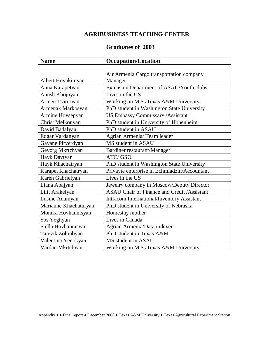### **AGRIBUSINESS TEACHING CENTER**

### **Graduates of 2003**

| <b>Name</b>           | <b>Occupation/Location</b>                         |
|-----------------------|----------------------------------------------------|
|                       |                                                    |
|                       | Air Armenia Cargo transportation company           |
| Albert Hovakimyan     | Manager                                            |
| Anna Karapetyan       | Extension Department of ASAU/Youth clubs           |
| Anush Khojoyan        | Lives in the US                                    |
| Armen Tsaturyan       | Working on M.S./Texas A&M University               |
| Armenak Markosyan     | PhD student in Washington State University         |
| Armine Hovsepyan      | US Embassy Commissary /Assistant                   |
| Christ Melkonyan      | PhD student in University of Hohenheim             |
| David Badalyan        | PhD student in ASAU                                |
| Edgar Vardanyan       | Agrian Armenia/ Team leader                        |
| Gayane Pirverdyan     | MS student in ASAU                                 |
| Gevorg Mkrtchyan      | Bardiner restaurant/Manager                        |
| Hayk Davtyan          | ATC/GSO                                            |
| Hayk Khachatryan      | PhD student in Washington State University         |
| Karapet Khachatryan   | Privayte enterprise in Echmiadzin/Accountant       |
| Karen Gabrielyan      | Lives in the US                                    |
| Liana Abajyan         | Jewelry company in Moscow/Deputy Director          |
| Lilit Arakelyan       | <b>ASAU Chair of Finance and Credit /Assistant</b> |
| Lusine Adamyan        | <b>Intracom International/Inventory Assistant</b>  |
| Marianne Khachaturyan | PhD student in University of Nebraska              |
| Monika Hovhannisyan   | Homestay mother                                    |
| Sos Yeghyan           | Lives in Canada                                    |
| Stella Hovhannisyan   | Agrian Armenia/Data indexer                        |
| Tatevik Zohrabyan     | PhD student in Texas A&M                           |
| Valentina Yenokyan    | MS student in ASAU                                 |
| Vardan Mkrtchyan      | Working on M.S./Texas A&M University               |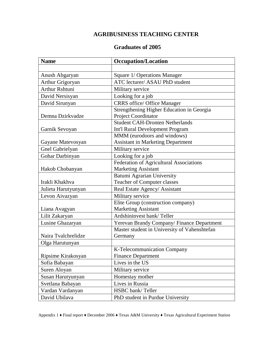### **AGRIBUSINESS TEACHING CENTER**

### **Graduates of 2005**

| <b>Name</b>           | <b>Occupation/Location</b>                   |
|-----------------------|----------------------------------------------|
|                       |                                              |
| Anush Abgaryan        | Square 1/ Operations Manager                 |
| Arthur Grigoryan      | ATC lecturer/ ASAU PhD student               |
| <b>Arthur Rshtuni</b> | Military service                             |
| David Nersisyan       | Looking for a job                            |
| David Sirunyan        | <b>CRRS</b> office/ Office Manager           |
|                       | Strengthening Higher Education in Georgia    |
| Demna Dzirkvadze      | Project Coordinator                          |
|                       | <b>Student CAH-Dronten Netherlands</b>       |
| Garnik Sevoyan        | Int'l Rural Development Program              |
|                       | MMM (eurodoors and windows)                  |
| Gayane Matevosyan     | <b>Assistant in Marketing Department</b>     |
| Gnel Gabrielyan       | Military service                             |
| Gohar Darbinyan       | Looking for a job                            |
|                       | Federation of Agricultural Associations      |
| Hakob Chobanyan       | <b>Marketing Assistant</b>                   |
|                       | <b>Batumi Agrarian University</b>            |
| Irakli Khakhva        | <b>Teacher of Computer classes</b>           |
| Julieta Harutyunyan   | Real Estate Agency/ Assistant                |
| Levon Aivazyan        | Military service                             |
|                       | Elite Group (construction company)           |
| Liana Avagyan         | <b>Marketing Assistant</b>                   |
| Lilit Zakaryan        | Ardshininvest bank/Teller                    |
| Lusine Ghazaryan      | Yerevan Brandy Company/ Finance Department   |
|                       | Master student in University of Vahenshtefan |
| Naira Tvalchrelidze   | Germany                                      |
| Olga Harutunyan       |                                              |
|                       | K-Telecommunication Company                  |
| Ripsime Kirakosyan    | <b>Finance Department</b>                    |
| Sofia Babayan         | Lives in the US                              |
| Suren Aloyan          | Military service                             |
| Susan Harutyunyan     | Homestay mother                              |
| Svetlana Babayan      | Lives in Russia                              |
| Vardan Vardanyan      | HSBC bank/Teller                             |
| David Ubilava         | PhD student in Purdue University             |

Appendix 1 ♦ Final report ♦ December 2006 ♦ Texas A&M University ♦ Texas Agricultural Experiment Station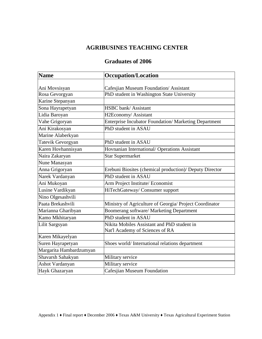### **AGRIBUSINES TEACHING CENTER**

### **Graduates of 2006**

| <b>Name</b>             | <b>Occupation/Location</b>                                   |
|-------------------------|--------------------------------------------------------------|
|                         |                                                              |
| Ani Movsisyan           | Cafesjian Museum Foundation/Assistant                        |
| Rosa Gevorgyan          | PhD student in Washington State University                   |
| Karine Stepanyan        |                                                              |
| Sona Hayrapetyan        | <b>HSBC</b> bank/ Assistant                                  |
| Lidia Baroyan           | H2Economy/Assistant                                          |
| Vahe Grigoryan          | <b>Enterprise Incubator Foundation/ Marketing Department</b> |
| Ani Kirakosyan          | PhD student in ASAU                                          |
| Marine Alaberkyan       |                                                              |
| Tatevik Gevorgyan       | PhD student in ASAU                                          |
| Karen Hovhannisyan      | Hovnanian International/ Operations Assistant                |
| Naira Zakaryan          | <b>Star Supermarket</b>                                      |
| Nune Manasyan           |                                                              |
| Anna Grigoryan          | Erebuni Biosites (chemical production)/ Deputy Director      |
| Narek Vardanyan         | PhD student in ASAU                                          |
| Ani Mukoyan             | Arm Project Institute/ Economist                             |
| Lusine Vardikyan        | HiTechGateway/ Consumer support                              |
| Nino Olgesashvili       |                                                              |
| Paata Brekashvili       | Ministry of Agriculture of Georgia/ Project Coordinator      |
| Marianna Gharibyan      | Boomerang software/ Marketing Department                     |
| Kamo Mkhitaryan         | PhD student in ASAU                                          |
| Lilit Sargsyan          | Nikita Mobiles Assistant and PhD student in                  |
|                         | Nat'l Academy of Sciences of RA                              |
| Karen Mikayelyan        |                                                              |
| Suren Hayrapetyan       | Shoes world/International relations department               |
| Margarita Hambardzumyan |                                                              |
| Shavarsh Sahakyan       | Military service                                             |
| Ashot Vardanyan         | Military service                                             |
| Hayk Ghazaryan          | <b>Cafesjian Museum Foundation</b>                           |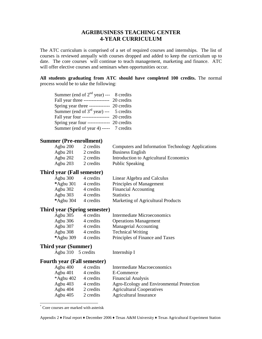### **AGRIBUSINESS TEACHING CENTER 4-YEAR CURRICULUM**

The ATC curriculum is comprised of a set of required courses and internships. The list of courses is reviewed annually with courses dropped and added to keep the curriculum up to date. The core courses<sup>\*</sup> will continue to teach management, marketing and finance. ATC will offer elective courses and seminars when opportunities occur.

**All students graduating from ATC should have completed 100 credits.** The normal process would be to take the following:

| Summer (end of $2^{nd}$ year) --- 8 credits |  |
|---------------------------------------------|--|
| Fall year three ---------------- 20 credits |  |
| Spring year three ------------- 20 credits  |  |
| Summer (end of $3^{rd}$ year) --- 5 credits |  |
| Fall year four ----------------- 20 credits |  |
| Spring year four -------------- 20 credits  |  |
| Summer (end of year 4) ----- 7 credits      |  |

#### **Summer (Pre-enrollment)**

| Agbu 200 | 2 credits | Computers and Information Technology Applications |
|----------|-----------|---------------------------------------------------|
| Agbu 201 | 2 credits | <b>Business English</b>                           |
| Agbu 202 | 2 credits | Introduction to Agricultural Economics            |
| Agbu 203 | 2 credits | <b>Public Speaking</b>                            |

### **Third year (Fall semester)**

| Agbu $300$   | 4 credits | Linear Algebra and Calculus        |
|--------------|-----------|------------------------------------|
| $*$ Agbu 301 | 4 credits | Principles of Management           |
| Agbu $302$   | 4 credits | <b>Financial Accounting</b>        |
| Agbu $303$   | 4 credits | <b>Statistics</b>                  |
| *Agbu 304    | 4 credits | Marketing of Agricultural Products |

#### **Third year (Spring semester)**

| Agbu 305  | 4 credits | Intermediate Microeconomics     |
|-----------|-----------|---------------------------------|
| Agbu 306  | 4 credits | <b>Operations Management</b>    |
| Agbu 307  | 4 credits | <b>Managerial Accounting</b>    |
| Agbu 308  | 4 credits | <b>Technical Writing</b>        |
| *Agbu 309 | 4 credits | Principles of Finance and Taxes |

#### **Third year (Summer)**

Agbu 310 5 credits Internship I

#### **Fourth year (Fall semester)**

| Agbu $400$   | 4 credits | <b>Intermediate Macroeconomics</b>        |
|--------------|-----------|-------------------------------------------|
| Agbu 401     | 4 credits | E-Commerce                                |
| $*$ Agbu 402 | 4 credits | <b>Financial Analysis</b>                 |
| Agbu $403$   | 4 credits | Agro-Ecology and Environmental Protection |
| Agbu 404     | 2 credits | <b>Agricultural Cooperatives</b>          |
| Agbu $405$   | 2 credits | <b>Agricultural Insurance</b>             |

<sup>٭</sup> Core courses are marked with asterisk

 $\overline{a}$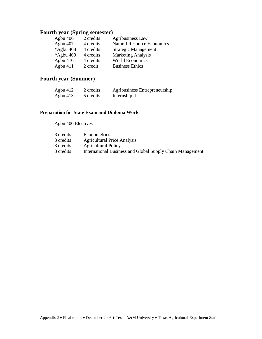### **Fourth year (Spring semester)**

| Agbu $406$ | 2 credits | <b>Agribusiness Law</b>           |
|------------|-----------|-----------------------------------|
| Agbu 407   | 4 credits | <b>Natural Resource Economics</b> |
| *Agbu 408  | 4 credits | <b>Strategic Management</b>       |
| *Agbu 409  | 4 credits | <b>Marketing Analysis</b>         |
| Agbu $410$ | 4 credits | <b>World Economics</b>            |
| Agbu 411   | 2 credit  | <b>Business Ethics</b>            |

### **Fourth year (Summer)**

| Agbu $412$ | 2 credits | Agribusiness Entrepreneurship |
|------------|-----------|-------------------------------|
| Agbu $413$ | 5 credits | Internship II                 |

### **Preparation for State Exam and Diploma Work**

#### Agbu 400 Electives

| 3 credits | Econometrics                                              |
|-----------|-----------------------------------------------------------|
| 3 credits | <b>Agricultural Price Analysis</b>                        |
| 3 credits | <b>Agricultural Policy</b>                                |
| 3 credits | International Business and Global Supply Chain Management |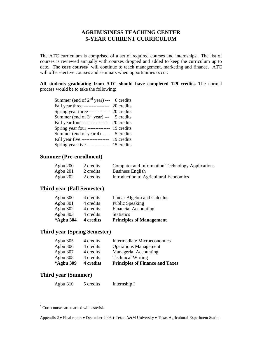### **AGRIBUSINESS TEACHING CENTER 5-YEAR CURRENT CURRICULUM**

The ATC curriculum is comprised of a set of required courses and internships. The list of courses is reviewed annually with courses dropped and added to keep the curriculum up to date. The **core courses** will continue to teach management, marketing and finance. ATC will offer elective courses and seminars when opportunities occur.

**All students graduating from ATC should have completed 129 credits.** The normal process would be to take the following:

| Summer (end of $2^{nd}$ year) --- 6 credits |  |
|---------------------------------------------|--|
| Fall year three --------------- 20 credits  |  |
| Spring year three ------------- 20 credits  |  |
| Summer (end of $3^{rd}$ year) --- 5 credits |  |
| Fall year four ----------------- 20 credits |  |
| Spring year four -------------- 19 credits  |  |
| Summer (end of year 4) ----- 5 credits      |  |
| Fall year five ----------------- 19 credits |  |
| Spring year five ------------- 15 credits   |  |

### **Summer (Pre-enrollment)**

| Agbu $200$ | 2 credits | <b>Computer and Information Technology Applications</b> |
|------------|-----------|---------------------------------------------------------|
| Agbu $201$ | 2 credits | <b>Business English</b>                                 |
| Agbu $202$ | 2 credits | Introduction to Agricultural Economics                  |

#### **Third year (Fall Semester)**

| *Agbu 304 | 4 credits | <b>Principles of Management</b> |
|-----------|-----------|---------------------------------|
| Agbu 303  | 4 credits | <b>Statistics</b>               |
| Agbu 302  | 4 credits | <b>Financial Accounting</b>     |
| Agbu 301  | 4 credits | <b>Public Speaking</b>          |
| Agbu 300  | 4 credits | Linear Algebra and Calculus     |

### **Third year (Spring Semester)**

| *Agbu 309  | 4 credits | <b>Principles of Finance and Taxes</b> |
|------------|-----------|----------------------------------------|
| Agbu 308   | 4 credits | <b>Technical Writing</b>               |
| Agbu 307   | 4 credits | <b>Managerial Accounting</b>           |
| Agbu 306   | 4 credits | <b>Operations Management</b>           |
| Agbu $305$ | 4 credits | Intermediate Microeconomics            |

### **Third year (Summer)**

 $\overline{a}$ 

| Agbu $310$ | 5 credits | Internship I |
|------------|-----------|--------------|
|            |           |              |

<sup>٭</sup> Core courses are marked with asterisk